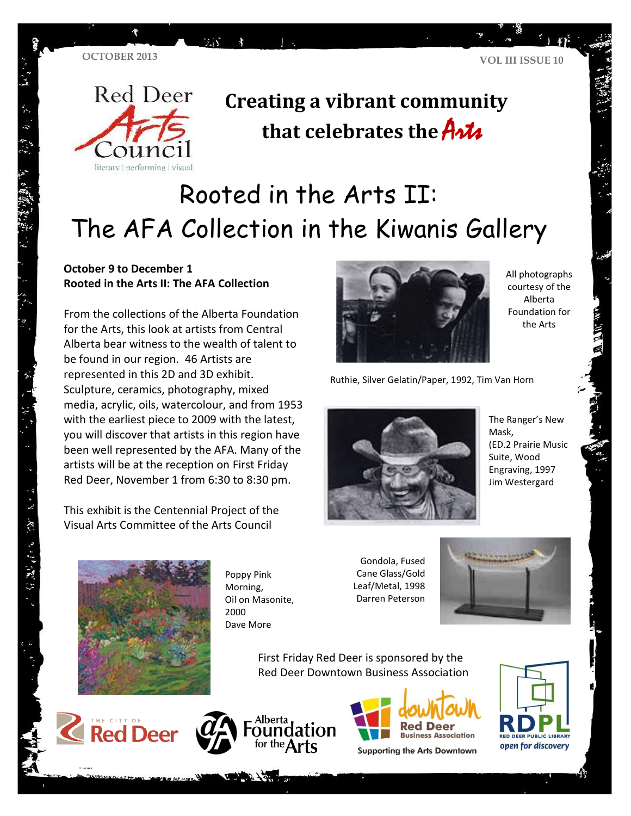

### **Creating a vibrant community**  that celebrates the **Arts**

# Rooted in the Arts II: The AFA Collection in the Kiwanis Gallery

#### **October 9 to December 1 Rooted in the Arts II: The AFA Collection**

 $7.37$ 

From the collections of the Alberta Foundation for the Arts, this look at artists from Central Alberta bear witness to the wealth of talent to be found in our region. 46 Artists are represented in this 2D and 3D exhibit. Sculpture, ceramics, photography, mixed media, acrylic, oils, watercolour, and from 1953 with the earliest piece to 2009 with the latest, you will discover that artists in this region have been well represented by the AFA. Many of the artists will be at the reception on First Friday Red Deer, November 1 from 6:30 to 8:30 pm.

This exhibit is the Centennial Project of the Visual Arts Committee of the Arts Council



All photographs courtesy of the Alberta Foundation for the Arts

Ruthie, Silver Gelatin/Paper, 1992, Tim Van Horn



The Ranger's New Mask, (ED.2 Prairie Music Suite, Wood Engraving, 1997 Jim Westergard



Poppy Pink Morning, Oil on Masonite, 2000 Dave More

Gondola, Fused Cane Glass/Gold Leaf/Metal, 1998 Darren Peterson



First Friday Red Deer is sponsored by the Red Deer Downtown Business Association







**Supporting the Arts Downtown** 



・ド 、 不 、 まち まち (電気)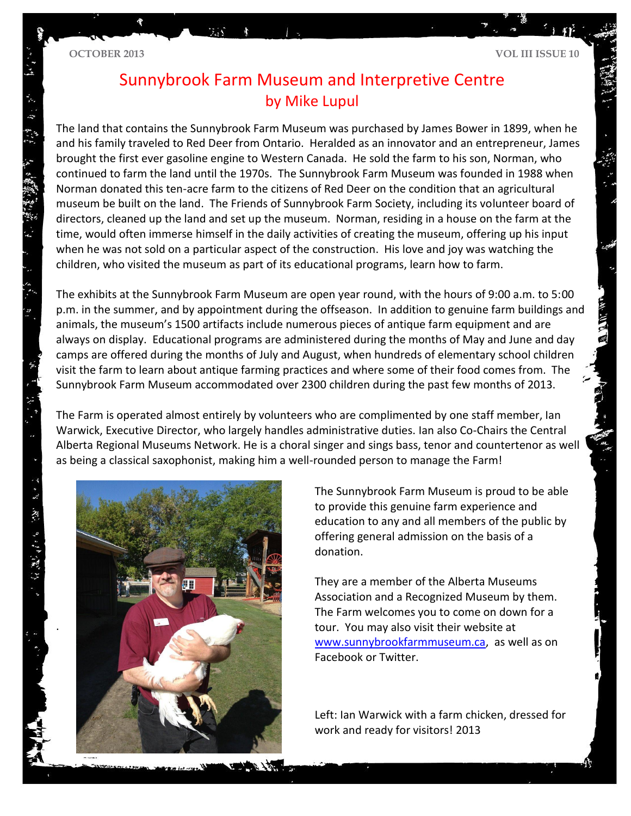### Sunnybrook Farm Museum and Interpretive Centre by Mike Lupul

The land that contains the Sunnybrook Farm Museum was purchased by James Bower in 1899, when he and his family traveled to Red Deer from Ontario. Heralded as an innovator and an entrepreneur, James brought the first ever gasoline engine to Western Canada. He sold the farm to his son, Norman, who continued to farm the land until the 1970s. The Sunnybrook Farm Museum was founded in 1988 when Norman donated this ten-acre farm to the citizens of Red Deer on the condition that an agricultural museum be built on the land. The Friends of Sunnybrook Farm Society, including its volunteer board of directors, cleaned up the land and set up the museum. Norman, residing in a house on the farm at the time, would often immerse himself in the daily activities of creating the museum, offering up his input when he was not sold on a particular aspect of the construction. His love and joy was watching the children, who visited the museum as part of its educational programs, learn how to farm.

The exhibits at the Sunnybrook Farm Museum are open year round, with the hours of 9:00 a.m. to 5:00 p.m. in the summer, and by appointment during the offseason. In addition to genuine farm buildings and animals, the museum's 1500 artifacts include numerous pieces of antique farm equipment and are always on display. Educational programs are administered during the months of May and June and day camps are offered during the months of July and August, when hundreds of elementary school children visit the farm to learn about antique farming practices and where some of their food comes from. The Sunnybrook Farm Museum accommodated over 2300 children during the past few months of 2013.

The Farm is operated almost entirely by volunteers who are complimented by one staff member, Ian Warwick, Executive Director, who largely handles administrative duties. Ian also Co-Chairs the Central Alberta Regional Museums Network. He is a choral singer and sings bass, tenor and countertenor as well as being a classical saxophonist, making him a well-rounded person to manage the Farm!



The Sunnybrook Farm Museum is proud to be able to provide this genuine farm experience and education to any and all members of the public by offering general admission on the basis of a donation.

They are a member of the Alberta Museums Association and a Recognized Museum by them. The Farm welcomes you to come on down for a tour. You may also visit their website at [www.sunnybrookfarmmuseum.ca,](http://www.sunnybrookfarmmuseum.ca/) as well as on Facebook or Twitter.

Left: Ian Warwick with a farm chicken, dressed for work and ready for visitors! 2013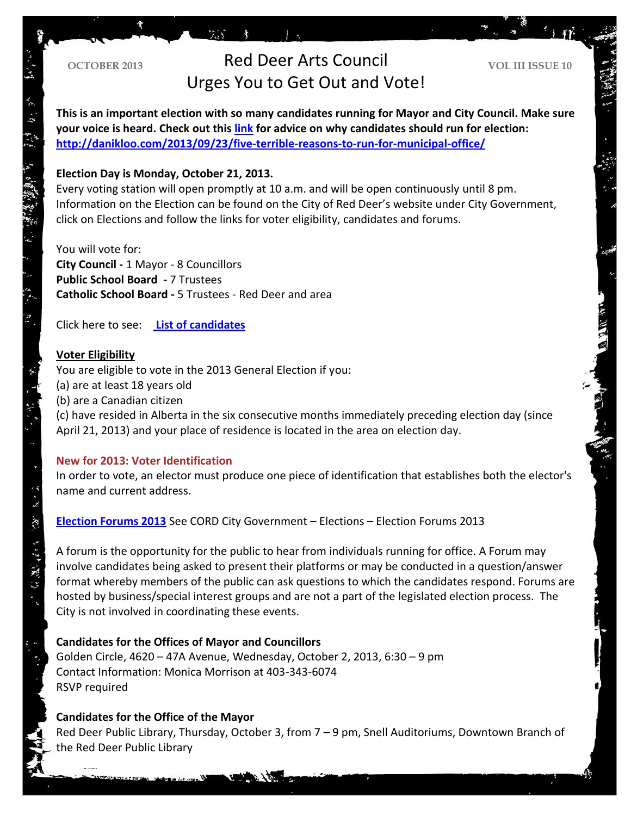### **OCTOBER 2013 Red Deer Arts Council VOL III ISSUE 10** Urges You to Get Out and Vote!

**This is an important election with so many candidates running for Mayor and City Council. Make sure your voice is heard. Check out this [link](http://danikloo.com/2013/09/23/five-terrible-reasons-to-run-for-municipal-office/) for advice on why candidates should run for election: <http://danikloo.com/2013/09/23/five-terrible-reasons-to-run-for-municipal-office/>**

#### **Election Day is Monday, October 21, 2013.**

Every voting station will open promptly at 10 a.m. and will be open continuously until 8 pm. Information on the Election can be found on the City of Red Deer's website under City Government, click on Elections and follow the links for voter eligibility, candidates and forums.

You will vote for: **City Council -** 1 Mayor - 8 Councillors **Public School Board -** 7 Trustees **Catholic School Board -** 5 Trustees - Red Deer and area

**TA** 

Click here to see: **[List of candidates](http://www.reddeer.ca/City+Government/City+Services+and+Departments/Legislative+and+Administrative+Services/Election/Information+for+Voters/List+of+Candidates.htm)**

#### **Voter Eligibility**

م می<br>م

分為 经经济

You are eligible to vote in the 2013 General Election if you: (a) are at least 18 years old (b) are a Canadian citizen (c) have resided in Alberta in the six consecutive months immediately preceding election day (since April 21, 2013) and your place of residence is located in the area on election day.

#### **New for 2013: Voter Identification**

In order to vote, an elector must produce one piece of identification that establishes both the elector's name and current address.

**[Election Forums 2013](http://www.reddeer.ca/City+Government/City+Services+and+Departments/Legislative+and+Administrative+Services/Election/Election+Forums+2013.htm)** See CORD City Government – Elections – Election Forums 2013

A forum is the opportunity for the public to hear from individuals running for office. A Forum may involve candidates being asked to present their platforms or may be conducted in a question/answer format whereby members of the public can ask questions to which the candidates respond. Forums are hosted by business/special interest groups and are not a part of the legislated election process. The City is not involved in coordinating these events.

#### **Candidates for the Offices of Mayor and Councillors**

Golden Circle, 4620 – 47A Avenue, Wednesday, October 2, 2013, 6:30 – 9 pm Contact Information: Monica Morrison at 403-343-6074 RSVP required

#### **Candidates for the Office of the Mayor**

Red Deer Public Library, Thursday, October 3, from 7 – 9 pm, Snell Auditoriums, Downtown Branch of the Red Deer Public Library